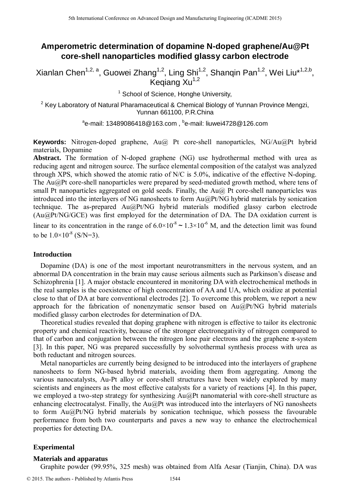# **Amperometric determination of dopamine N-doped graphene/Au@Pt core-shell nanoparticles modified glassy carbon electrode**

Xianlan Chen<sup>1,2, a</sup>, Guowei Zhang<sup>1,2</sup>, Ling Shi<sup>1,2</sup>, Shanqin Pan<sup>1,2</sup>, Wei Liu\*<sup>1,2,b</sup>,  $K$ eqiang Xu<sup>1,2</sup>

<sup>1</sup> School of Science, Honghe University,

 $2$  Key Laboratory of Natural Pharamaceutical & Chemical Biology of Yunnan Province Mengzi, Yunnan 661100, P.R.China

<sup>a</sup>e-mail: 13489086418@163.com , <sup>b</sup>e-mail: liuwei4728@126.com

**Keywords:** Nitrogen-doped graphene, Au@ Pt core-shell nanoparticles, NG/Au@Pt hybrid materials, Dopamine

Abstract. The formation of N-doped graphene (NG) use hydrothermal method with urea as reducing agent and nitrogen source. The surface elemental composition of the catalyst was analyzed through XPS, which showed the atomic ratio of N/C is 5.0%, indicative of the effective N-doping. The Au@Pt core-shell nanoparticles were prepared by seed-mediated growth method, where tens of small Pt nanoparticles aggregated on gold seeds. Finally, the  $Au@$  Pt core-shell nanoparticles was introduced into the interlayers of NG nanosheets to form Au@Pt/NG hybrid materials by sonication technique. The as-prepared Au@Pt/NG hybrid materials modified glassy carbon electrode (Au@Pt/NG/GCE) was first employed for the determination of DA. The DA oxidation current is linear to its concentration in the range of  $6.0 \times 10^{-8} \sim 1.3 \times 10^{-6}$  M, and the detection limit was found to be  $1.0\times10^{-8}$  (S/N=3). <sup>5th</sup> Leonitonic Conference on Advanced Design and Manufacture Equivariation **Core-Shell nanoparticles modelified glassy carbon electrod<br>Xianlan Chen<sup>1,2, a</sup>, Guowei Zhang-1<sup>2</sup>, Ling Sh<sup>11</sup><sup>2</sup>, Nanapip Pan<sup>12</sup>, Weights -** 

### **Introduction**

Dopamine (DA) is one of the most important neurotransmitters in the nervous system, and an abnormal DA concentration in the brain may cause serious ailments such as Parkinson's disease and Schizophrenia [1]. A major obstacle encountered in monitoring DA with electrochemical methods in the real samples is the coexistence of high concentration of AA and UA, which oxidize at potential close to that of DA at bare conventional electrodes [2]. To overcome this problem, we report a new approach for the fabrication of nonenzymatic sensor based on Au@Pt/NG hybrid materials modified glassy carbon electrodes for determination of DA.

Theoretical studies revealed that doping graphene with nitrogen is effective to tailor its electronic property and chemical reactivity, because of the stronger electronegativity of nitrogen compared to that of carbon and conjugation between the nitrogen lone pair electrons and the graphene  $\pi$ -system [3]. In this paper, NG was prepared successfully by solvothermal synthesis process with urea as both reductant and nitrogen sources.

Metal nanoparticles are currently being designed to be introduced into the interlayers of graphene nanosheets to form NG-based hybrid materials, avoiding them from aggregating. Among the various nanocatalysts, Au-Pt alloy or core-shell structures have been widely explored by many scientists and engineers as the most effective catalysts for a variety of reactions [4]. In this paper, we employed a two-step strategy for synthesizing Au@Pt nanomaterial with core-shell structure as enhancing electrocatalyst. Finally, the Au@Pt was introduced into the interlayers of NG nanosheets to form Au@Pt/NG hybrid materials by sonication technique, which possess the favourable performance from both two counterparts and paves a new way to enhance the electrochemical properties for detecting DA.

# **Experimental**

### **Materials and apparatus**

Graphite powder (99.95%, 325 mesh) was obtained from Alfa Aesar (Tianjin, China). DA was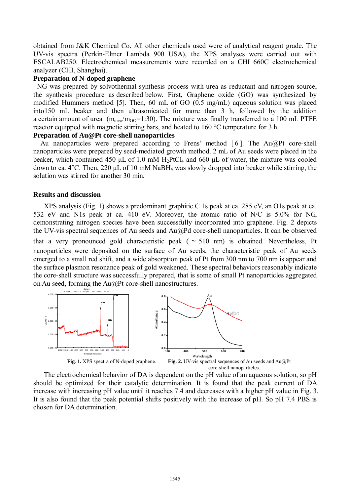obtained from J&K Chemical Co. All other chemicals used were of analytical reagent grade. The UV-vis spectra (Perkin-Elmer Lambda 900 USA), the XPS analyses were carried out with ESCALAB250. Electrochemical measurements were recorded on a CHI 660C electrochemical analyzer (CHI, Shanghai).

# **Preparation of N-doped graphene**

 NG was prepared by solvothermal synthesis process with urea as reductant and nitrogen source, the synthesis procedure as described below. First, Graphene oxide (GO) was synthesized by modified Hummers method [5]. Then, 60 mL of GO (0.5 mg/mL) aqueous solution was placed into150 mL beaker and then ultrasonicated for more than 3 h, followed by the addition a certain amount of urea  $(m_{\text{urea}}/m_{\text{GO}}=1:30)$ . The mixture was finally transferred to a 100 mL PTFE reactor equipped with magnetic stirring bars, and heated to 160 °C temperature for 3 h.

# **Preparation of Au@Pt core-shell nanoparticles**

Au nanoparticles were prepared according to Frens' method [6]. The Au@Pt core-shell nanoparticles were prepared by seed-mediated growth method. 2 mL of Au seeds were placed in the beaker, which contained 450  $\mu$ L of 1.0 mM H<sub>2</sub>PtCl<sub>4</sub> and 660  $\mu$ L of water, the mixture was cooled down to ca. 4°C. Then, 220 μL of 10 mM NaBH<sup>4</sup> was slowly dropped into beaker while stirring, the solution was stirred for another 30 min.

### **Results and discussion**

XPS analysis (Fig. 1) shows a predominant graphitic C 1s peak at ca. 285 eV, an O1s peak at ca. 532 eV and N1s peak at ca. 410 eV. Moreover, the atomic ratio of N/C is 5.0% for NG, demonstrating nitrogen species have been successfully incorporated into graphene. Fig. 2 depicts the UV-vis spectral sequences of Au seeds and Au@Pd core-shell nanoparticles. It can be observed that a very pronounced gold characteristic peak ( $\sim 510$  nm) is obtained. Nevertheless, Pt nanoparticles were deposited on the surface of Au seeds, the characteristic peak of Au seeds emerged to a small red shift, and a wide absorption peak of Pt from 300 nm to 700 nm is appear and the surface plasmon resonance peak of gold weakened. These spectral behaviors reasonably indicate the core-shell structure was successfully prepared, that is some of small Pt nanoparticles aggregated on Au seed, forming the Au@Pt core-shell nanostructures.



The electrochemical behavior of DA is dependent on the pH value of an aqueous solution, so pH should be optimized for their catalytic determination. It is found that the peak current of DA increase with increasing pH value until it reaches 7.4 and decreases with a higher pH value in Fig. 3. It is also found that the peak potential shifts positively with the increase of pH. So pH 7.4 PBS is chosen for DA determination.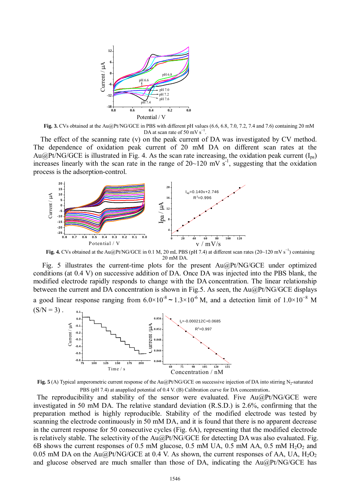

**Fig. 3.** CVs obtained at the Au@Pt/NG/GCE in PBS with different pH values (6.6, 6.8, 7.0, 7.2, 7.4 and 7.6) containing 20 mM DA at scan rate of  $50 \text{ mV s}^{-1}$ .

The effect of the scanning rate (v) on the peak current of DA was investigated by CV method. The dependence of oxidation peak current of 20 mM DA on different scan rates at the Au@Pt/NG/GCE is illustrated in Fig. 4. As the scan rate increasing, the oxidation peak current  $(I_{pa})$ increases linearly with the scan rate in the range of  $20~120$  mV s<sup>-1</sup>, suggesting that the oxidation process is the adsorption-control.



**Fig. 4.** CVs obtained at the Au@Pt/NG/GCE in 0.1 M, 20 mL PBS (pH 7.4) at different scan rates (20~120 mV s<sup>−</sup><sup>1</sup> ) containing 20 mM DA.

Fig. 5 illustrates the current-time plots for the present Au@Pt/NG/GCE under optimized conditions (at 0.4 V) on successive addition of DA. Once DA was injected into the PBS blank, the modified electrode rapidly responds to change with the DA concentration. The linear relationship between the current and DA concentration is shown in Fig.5. As seen, the Au@Pt/NG/GCE displays a good linear response ranging from  $6.0\times10^{-8}$  ~  $1.3\times10^{-6}$  M, and a detection limit of  $1.0\times10^{-8}$  M



**Fig. 5** (A) Typical amperometric current response of the Au@Pt/NG/GCE on successive injection of DA into stirring N<sub>2</sub>-saturated PBS (pH 7.4) at anapplied potential of 0.4 V. (B) Calibration curve for DA concentration.

The reproducibility and stability of the sensor were evaluated. Five Au@Pt/NG/GCE were investigated in 50 mM DA. The relative standard deviation (R.S.D.) is 2.6%, confirming that the preparation method is highly reproducible. Stability of the modified electrode was tested by scanning the electrode continuously in 50 mM DA, and it is found that there is no apparent decrease in the current response for 50 consecutive cycles (Fig. 6A), representing that the modified electrode is relatively stable. The selectivity of the Au@Pt/NG/GCE for detecting DA was also evaluated. Fig. 6B shows the current responses of 0.5 mM glucose, 0.5 mM UA, 0.5 mM AA, 0.5 mM  $H_2O_2$  and 0.05 mM DA on the Au@Pt/NG/GCE at 0.4 V. As shown, the current responses of AA, UA,  $H_2O_2$ and glucose observed are much smaller than those of DA, indicating the Au@Pt/NG/GCE has